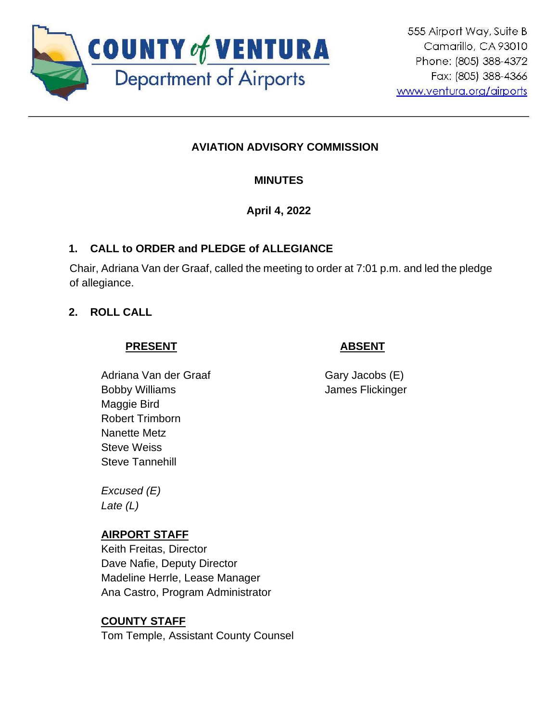

# **AVIATION ADVISORY COMMISSION**

## **MINUTES**

**April 4, 2022**

### **1. CALL to ORDER and PLEDGE of ALLEGIANCE**

Chair, Adriana Van der Graaf, called the meeting to order at 7:01 p.m. and led the pledge of allegiance.

### **2. ROLL CALL**

### **PRESENT**

## **ABSENT**

Adriana Van der Graaf Bobby Williams Maggie Bird Robert Trimborn Nanette Metz Steve Weiss Steve Tannehill

Gary Jacobs (E) James Flickinger

*Excused (E) Late (L)*

## **AIRPORT STAFF**

Keith Freitas, Director Dave Nafie, Deputy Director Madeline Herrle, Lease Manager Ana Castro, Program Administrator

## **COUNTY STAFF**

Tom Temple, Assistant County Counsel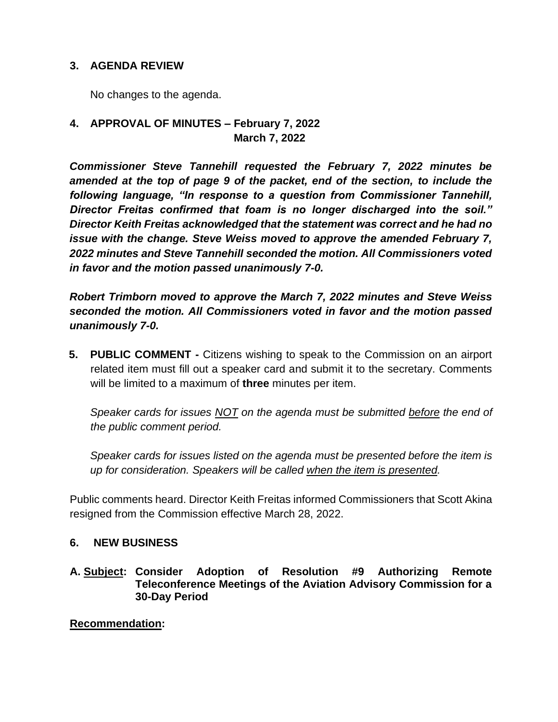### **3. AGENDA REVIEW**

No changes to the agenda.

### **4. APPROVAL OF MINUTES – February 7, 2022 March 7, 2022**

*Commissioner Steve Tannehill requested the February 7, 2022 minutes be amended at the top of page 9 of the packet, end of the section, to include the following language, "In response to a question from Commissioner Tannehill, Director Freitas confirmed that foam is no longer discharged into the soil." Director Keith Freitas acknowledged that the statement was correct and he had no issue with the change. Steve Weiss moved to approve the amended February 7, 2022 minutes and Steve Tannehill seconded the motion. All Commissioners voted in favor and the motion passed unanimously 7-0.*

*Robert Trimborn moved to approve the March 7, 2022 minutes and Steve Weiss seconded the motion. All Commissioners voted in favor and the motion passed unanimously 7-0.*

**5. PUBLIC COMMENT -** Citizens wishing to speak to the Commission on an airport related item must fill out a speaker card and submit it to the secretary. Comments will be limited to a maximum of **three** minutes per item.

*Speaker cards for issues NOT on the agenda must be submitted before the end of the public comment period.* 

*Speaker cards for issues listed on the agenda must be presented before the item is up for consideration. Speakers will be called when the item is presented.*

Public comments heard. Director Keith Freitas informed Commissioners that Scott Akina resigned from the Commission effective March 28, 2022.

#### **6. NEW BUSINESS**

**A. Subject: Consider Adoption of Resolution #9 Authorizing Remote Teleconference Meetings of the Aviation Advisory Commission for a 30-Day Period**

**Recommendation:**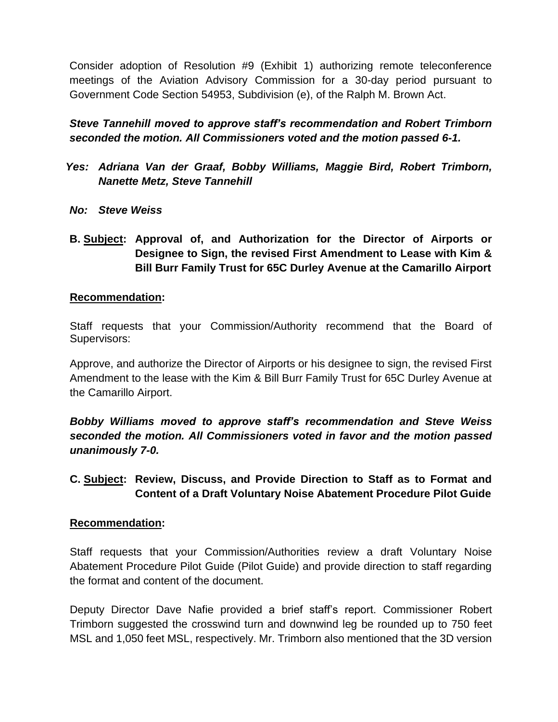Consider adoption of Resolution #9 (Exhibit 1) authorizing remote teleconference meetings of the Aviation Advisory Commission for a 30-day period pursuant to Government Code Section 54953, Subdivision (e), of the Ralph M. Brown Act.

*Steve Tannehill moved to approve staff's recommendation and Robert Trimborn seconded the motion. All Commissioners voted and the motion passed 6-1.*

- *Yes: Adriana Van der Graaf, Bobby Williams, Maggie Bird, Robert Trimborn, Nanette Metz, Steve Tannehill*
- *No: Steve Weiss*
- **B. Subject: Approval of, and Authorization for the Director of Airports or Designee to Sign, the revised First Amendment to Lease with Kim & Bill Burr Family Trust for 65C Durley Avenue at the Camarillo Airport**

#### **Recommendation:**

Staff requests that your Commission/Authority recommend that the Board of Supervisors:

Approve, and authorize the Director of Airports or his designee to sign, the revised First Amendment to the lease with the Kim & Bill Burr Family Trust for 65C Durley Avenue at the Camarillo Airport.

*Bobby Williams moved to approve staff's recommendation and Steve Weiss seconded the motion. All Commissioners voted in favor and the motion passed unanimously 7-0.*

### **C. Subject: Review, Discuss, and Provide Direction to Staff as to Format and Content of a Draft Voluntary Noise Abatement Procedure Pilot Guide**

#### **Recommendation:**

Staff requests that your Commission/Authorities review a draft Voluntary Noise Abatement Procedure Pilot Guide (Pilot Guide) and provide direction to staff regarding the format and content of the document.

Deputy Director Dave Nafie provided a brief staff's report. Commissioner Robert Trimborn suggested the crosswind turn and downwind leg be rounded up to 750 feet MSL and 1,050 feet MSL, respectively. Mr. Trimborn also mentioned that the 3D version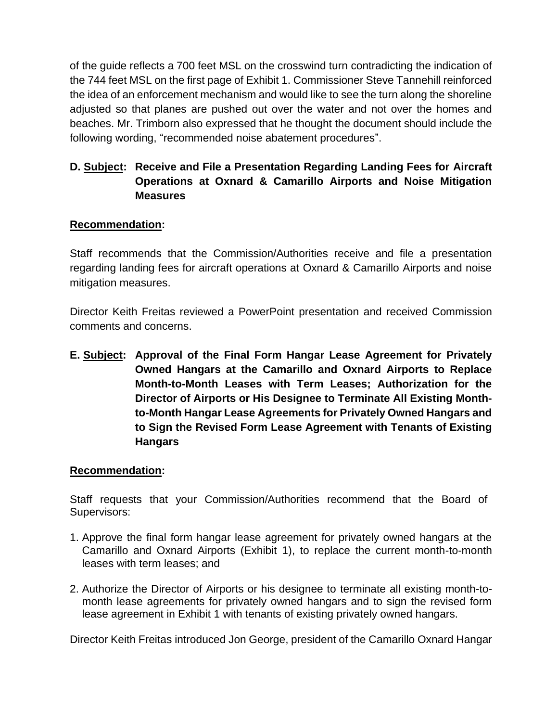of the guide reflects a 700 feet MSL on the crosswind turn contradicting the indication of the 744 feet MSL on the first page of Exhibit 1. Commissioner Steve Tannehill reinforced the idea of an enforcement mechanism and would like to see the turn along the shoreline adjusted so that planes are pushed out over the water and not over the homes and beaches. Mr. Trimborn also expressed that he thought the document should include the following wording, "recommended noise abatement procedures".

## **D. Subject: Receive and File a Presentation Regarding Landing Fees for Aircraft Operations at Oxnard & Camarillo Airports and Noise Mitigation Measures**

### **Recommendation:**

Staff recommends that the Commission/Authorities receive and file a presentation regarding landing fees for aircraft operations at Oxnard & Camarillo Airports and noise mitigation measures.

Director Keith Freitas reviewed a PowerPoint presentation and received Commission comments and concerns.

**E. Subject: Approval of the Final Form Hangar Lease Agreement for Privately Owned Hangars at the Camarillo and Oxnard Airports to Replace Month-to-Month Leases with Term Leases; Authorization for the Director of Airports or His Designee to Terminate All Existing Monthto-Month Hangar Lease Agreements for Privately Owned Hangars and to Sign the Revised Form Lease Agreement with Tenants of Existing Hangars**

#### **Recommendation:**

Staff requests that your Commission/Authorities recommend that the Board of Supervisors:

- 1. Approve the final form hangar lease agreement for privately owned hangars at the Camarillo and Oxnard Airports (Exhibit 1), to replace the current month-to-month leases with term leases; and
- 2. Authorize the Director of Airports or his designee to terminate all existing month-tomonth lease agreements for privately owned hangars and to sign the revised form lease agreement in Exhibit 1 with tenants of existing privately owned hangars.

Director Keith Freitas introduced Jon George, president of the Camarillo Oxnard Hangar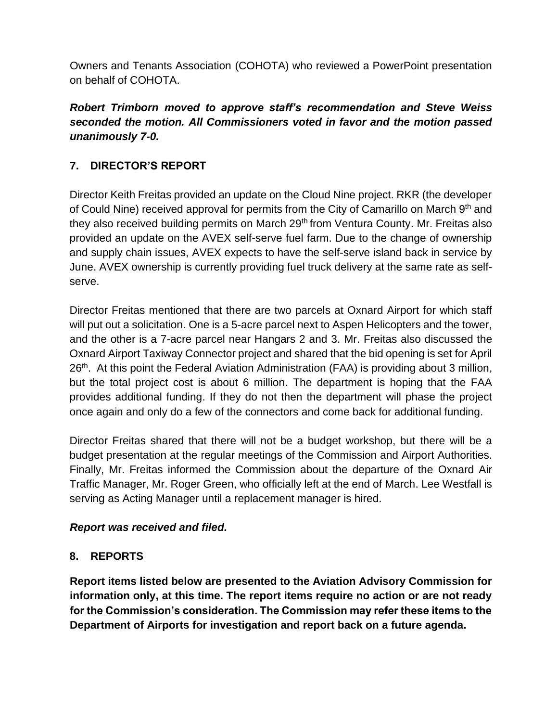Owners and Tenants Association (COHOTA) who reviewed a PowerPoint presentation on behalf of COHOTA.

## *Robert Trimborn moved to approve staff's recommendation and Steve Weiss seconded the motion. All Commissioners voted in favor and the motion passed unanimously 7-0.*

## **7. DIRECTOR'S REPORT**

Director Keith Freitas provided an update on the Cloud Nine project. RKR (the developer of Could Nine) received approval for permits from the City of Camarillo on March 9th and they also received building permits on March 29<sup>th</sup> from Ventura County. Mr. Freitas also provided an update on the AVEX self-serve fuel farm. Due to the change of ownership and supply chain issues, AVEX expects to have the self-serve island back in service by June. AVEX ownership is currently providing fuel truck delivery at the same rate as selfserve.

Director Freitas mentioned that there are two parcels at Oxnard Airport for which staff will put out a solicitation. One is a 5-acre parcel next to Aspen Helicopters and the tower, and the other is a 7-acre parcel near Hangars 2 and 3. Mr. Freitas also discussed the Oxnard Airport Taxiway Connector project and shared that the bid opening is set for April 26<sup>th</sup>. At this point the Federal Aviation Administration (FAA) is providing about 3 million, but the total project cost is about 6 million. The department is hoping that the FAA provides additional funding. If they do not then the department will phase the project once again and only do a few of the connectors and come back for additional funding.

Director Freitas shared that there will not be a budget workshop, but there will be a budget presentation at the regular meetings of the Commission and Airport Authorities. Finally, Mr. Freitas informed the Commission about the departure of the Oxnard Air Traffic Manager, Mr. Roger Green, who officially left at the end of March. Lee Westfall is serving as Acting Manager until a replacement manager is hired.

### *Report was received and filed.*

## **8. REPORTS**

**Report items listed below are presented to the Aviation Advisory Commission for information only, at this time. The report items require no action or are not ready for the Commission's consideration. The Commission may refer these items to the Department of Airports for investigation and report back on a future agenda.**